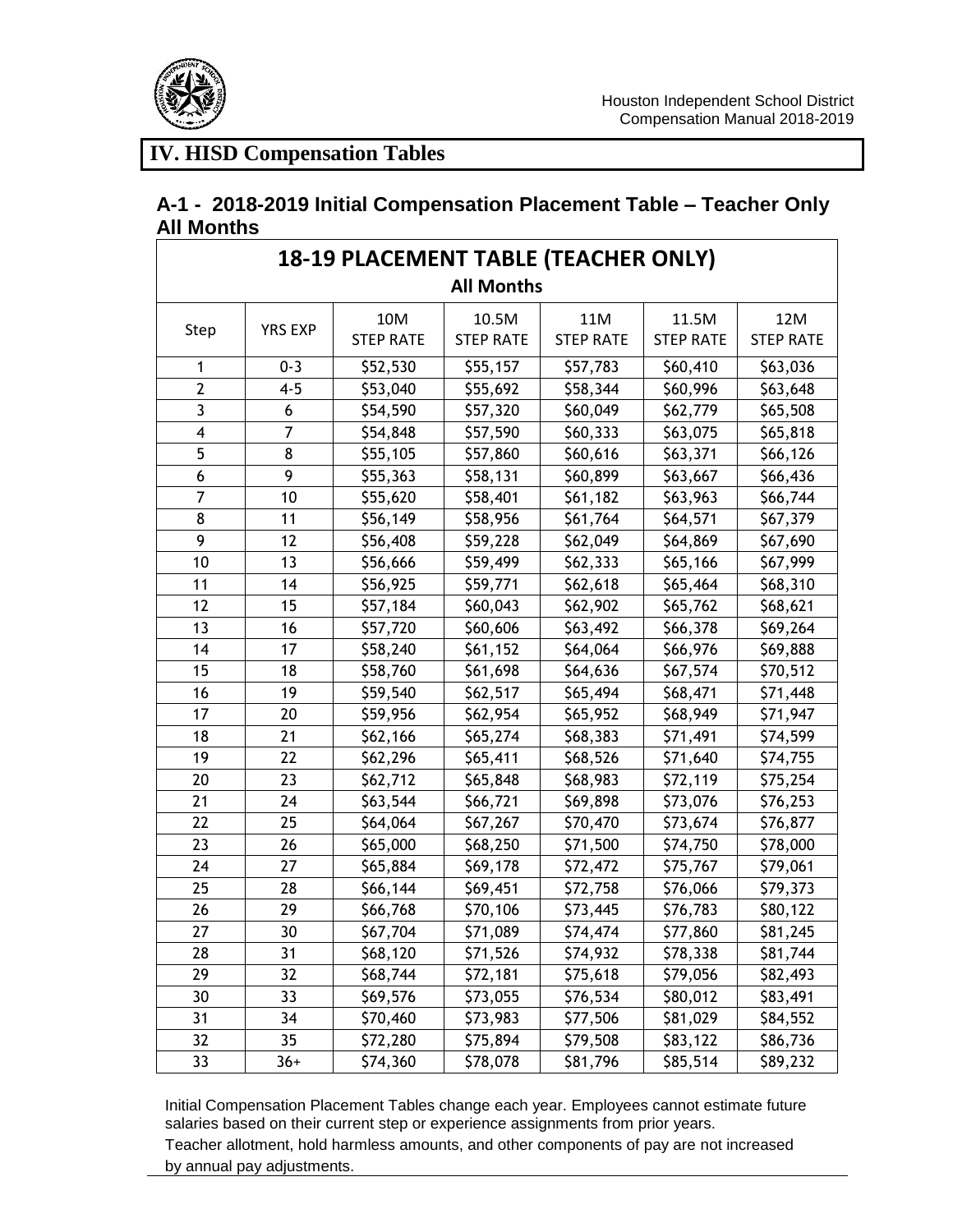

### **A-1 - 2018-2019 Initial Compensation Placement Table – Teacher Only All Months**

| <b>18-19 PLACEMENT TABLE (TEACHER ONLY)</b><br><b>All Months</b> |                |                         |                           |                         |                           |                         |  |
|------------------------------------------------------------------|----------------|-------------------------|---------------------------|-------------------------|---------------------------|-------------------------|--|
| Step                                                             | <b>YRS EXP</b> | 10M<br><b>STEP RATE</b> | 10.5M<br><b>STEP RATE</b> | 11M<br><b>STEP RATE</b> | 11.5M<br><b>STEP RATE</b> | 12M<br><b>STEP RATE</b> |  |
| 1                                                                | $0 - 3$        | \$52,530                | \$55,157                  | \$57,783                | \$60,410                  | \$63,036                |  |
| $\overline{2}$                                                   | $4 - 5$        | \$53,040                | \$55,692                  | \$58,344                | \$60,996                  | \$63,648                |  |
| 3                                                                | 6              | \$54,590                | \$57,320                  | \$60,049                | \$62,779                  | \$65,508                |  |
| 4                                                                | 7              | \$54,848                | \$57,590                  | \$60,333                | \$63,075                  | \$65,818                |  |
| 5                                                                | 8              | \$55,105                | \$57,860                  | \$60,616                | \$63,371                  | \$66,126                |  |
| 6                                                                | 9              | \$55,363                | \$58,131                  | \$60,899                | \$63,667                  | \$66,436                |  |
| 7                                                                | 10             | \$55,620                | \$58,401                  | \$61,182                | \$63,963                  | \$66,744                |  |
| 8                                                                | 11             | \$56,149                | \$58,956                  | \$61,764                | \$64,571                  | \$67,379                |  |
| 9                                                                | 12             | \$56,408                | \$59,228                  | \$62,049                | \$64,869                  | \$67,690                |  |
| 10                                                               | 13             | \$56,666                | \$59,499                  | \$62,333                | \$65,166                  | \$67,999                |  |
| 11                                                               | 14             | \$56,925                | \$59,771                  | \$62,618                | \$65,464                  | \$68,310                |  |
| 12                                                               | 15             | \$57,184                | \$60,043                  | \$62,902                | \$65,762                  | \$68,621                |  |
| 13                                                               | 16             | \$57,720                | \$60,606                  | \$63,492                | \$66,378                  | \$69,264                |  |
| 14                                                               | 17             | \$58,240                | \$61,152                  | \$64,064                | \$66,976                  | \$69,888                |  |
| 15                                                               | 18             | \$58,760                | \$61,698                  | \$64,636                | \$67,574                  | \$70,512                |  |
| 16                                                               | 19             | \$59,540                | \$62,517                  | \$65,494                | \$68,471                  | \$71,448                |  |
| 17                                                               | 20             | \$59,956                | \$62,954                  | \$65,952                | \$68,949                  | \$71,947                |  |
| 18                                                               | 21             | \$62,166                | \$65,274                  | \$68,383                | \$71,491                  | \$74,599                |  |
| 19                                                               | 22             | \$62,296                | \$65,411                  | \$68,526                | \$71,640                  | \$74,755                |  |
| 20                                                               | 23             | \$62,712                | \$65,848                  | \$68,983                | \$72,119                  | \$75,254                |  |
| 21                                                               | 24             | \$63,544                | \$66,721                  | \$69,898                | \$73,076                  | \$76,253                |  |
| 22                                                               | 25             | \$64,064                | \$67,267                  | \$70,470                | \$73,674                  | \$76,877                |  |
| 23                                                               | 26             | \$65,000                | \$68,250                  | \$71,500                | \$74,750                  | \$78,000                |  |
| 24                                                               | 27             | \$65,884                | \$69,178                  | \$72,472                | \$75,767                  | \$79,061                |  |
| 25                                                               | 28             | \$66,144                | \$69,451                  | \$72,758                | \$76,066                  | \$79,373                |  |
| 26                                                               | 29             | \$66,768                | \$70,106                  | \$73,445                | \$76,783                  | \$80,122                |  |
| 27                                                               | 30             | \$67,704                | \$71,089                  | \$74,474                | \$77,860                  | \$81,245                |  |
| 28                                                               | 31             | \$68,120                | \$71,526                  | \$74,932                | \$78,338                  | \$81,744                |  |
| 29                                                               | 32             | \$68,744                | \$72,181                  | \$75,618                | \$79,056                  | \$82,493                |  |
| 30                                                               | 33             | \$69,576                | \$73,055                  | \$76,534                | \$80,012                  | \$83,491                |  |
| 31                                                               | 34             | \$70,460                | \$73,983                  | \$77,506                | \$81,029                  | \$84,552                |  |
| 32                                                               | 35             | \$72,280                | \$75,894                  | \$79,508                | \$83,122                  | \$86,736                |  |
| 33                                                               | $36+$          | \$74,360                | \$78,078                  | \$81,796                | \$85,514                  | \$89,232                |  |

Initial Compensation Placement Tables change each year. Employees cannot estimate future salaries based on their current step or experience assignments from prior years.

Teacher allotment, hold harmless amounts, and other components of pay are not increased by annual pay adjustments.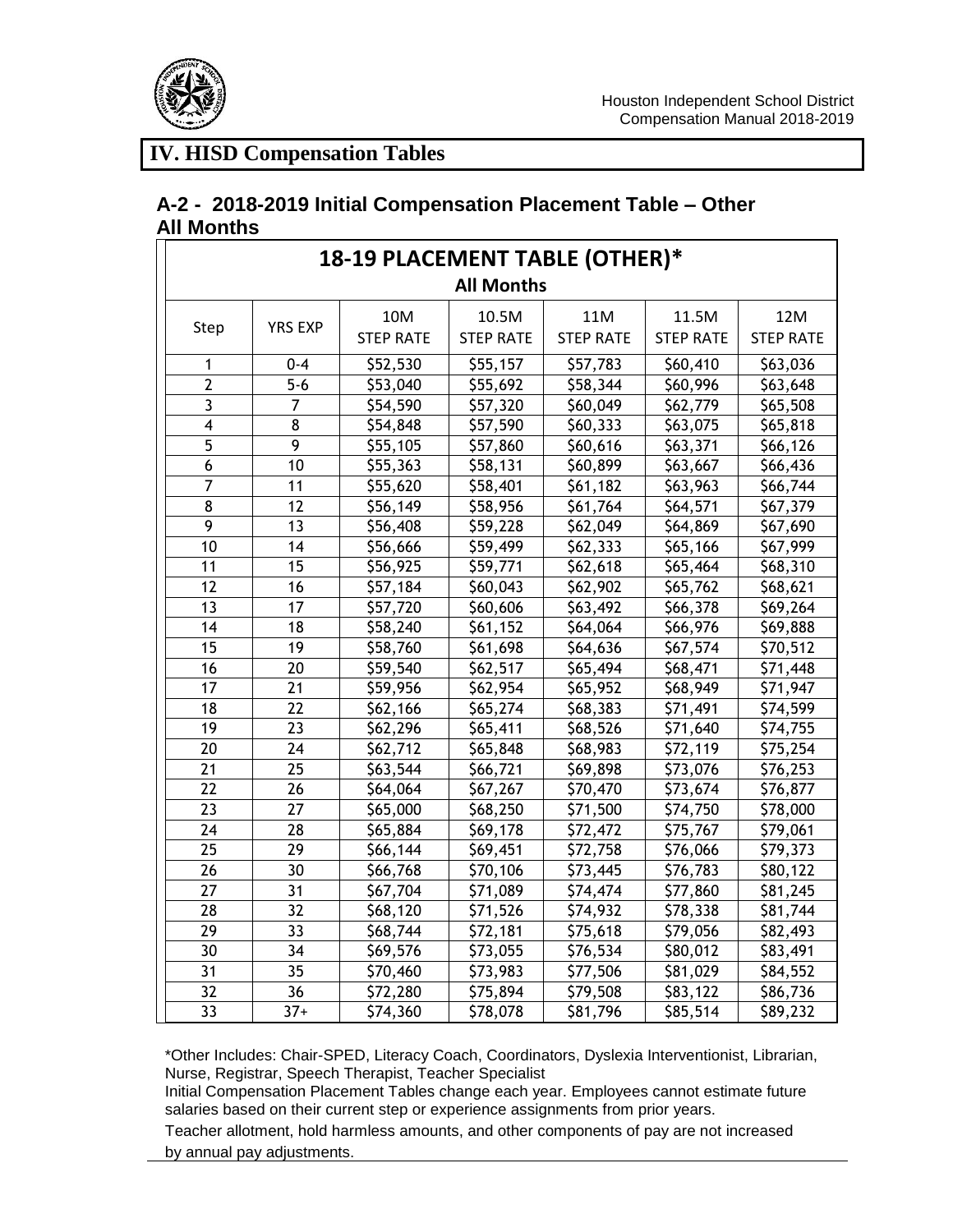

#### **A-2 - 2018-2019 Initial Compensation Placement Table – Other All Months**

| 18-19 PLACEMENT TABLE (OTHER)* |                |                  |                  |                  |                  |                  |  |
|--------------------------------|----------------|------------------|------------------|------------------|------------------|------------------|--|
| <b>All Months</b>              |                |                  |                  |                  |                  |                  |  |
|                                |                | 10M              | 10.5M            | 11M              | 11.5M            | 12M              |  |
| Step                           | <b>YRS EXP</b> | <b>STEP RATE</b> | <b>STEP RATE</b> | <b>STEP RATE</b> | <b>STEP RATE</b> | <b>STEP RATE</b> |  |
| 1                              | $0 - 4$        | \$52,530         | \$55,157         | \$57,783         | \$60,410         | \$63,036         |  |
| $\overline{2}$                 | $5 - 6$        | \$53,040         | \$55,692         | \$58,344         | \$60,996         | \$63,648         |  |
| $\overline{3}$                 | $\overline{7}$ | \$54,590         | \$57,320         | \$60,049         | \$62,779         | \$65,508         |  |
| $\overline{\mathbf{4}}$        | 8              | \$54,848         | \$57,590         | \$60,333         | \$63,075         | \$65,818         |  |
| $\overline{5}$                 | $\overline{9}$ | \$55,105         | \$57,860         | \$60,616         | \$63,371         | \$66,126         |  |
| $\boldsymbol{6}$               | 10             | \$55,363         | \$58,131         | \$60,899         | \$63,667         | \$66,436         |  |
| $\overline{7}$                 | 11             | \$55,620         | \$58,401         | \$61,182         | \$63,963         | \$66,744         |  |
| 8                              | 12             | \$56,149         | \$58,956         | \$61,764         | \$64,571         | \$67,379         |  |
| 9                              | 13             | \$56,408         | \$59,228         | \$62,049         | \$64,869         | \$67,690         |  |
| 10                             | 14             | \$56,666         | \$59,499         | \$62,333         | \$65,166         | \$67,999         |  |
| 11                             | 15             | \$56,925         | \$59,771         | \$62,618         | \$65,464         | \$68,310         |  |
| 12                             | 16             | \$57,184         | \$60,043         | \$62,902         | \$65,762         | \$68,621         |  |
| 13                             | 17             | \$57,720         | \$60,606         | \$63,492         | \$66,378         | \$69,264         |  |
| 14                             | 18             | \$58,240         | \$61,152         | \$64,064         | \$66,976         | \$69,888         |  |
| $\overline{15}$                | 19             | \$58,760         | \$61,698         | \$64,636         | \$67,574         | \$70,512         |  |
| 16                             | 20             | \$59,540         | \$62,517         | \$65,494         | \$68,471         | \$71,448         |  |
| 17                             | 21             | \$59,956         | \$62,954         | \$65,952         | \$68,949         | \$71,947         |  |
| 18                             | 22             | \$62,166         | \$65,274         | \$68,383         | \$71,491         | \$74,599         |  |
| 19                             | 23             | \$62,296         | \$65,411         | \$68,526         | \$71,640         | \$74,755         |  |
| 20                             | 24             | \$62,712         | \$65,848         | \$68,983         | \$72,119         | \$75,254         |  |
| 21                             | 25             | \$63,544         | \$66,721         | \$69,898         | \$73,076         | \$76,253         |  |
| 22                             | 26             | \$64,064         | \$67,267         | \$70,470         | \$73,674         | \$76,877         |  |
| 23                             | 27             | \$65,000         | \$68,250         | \$71,500         | \$74,750         | \$78,000         |  |
| 24                             | 28             | \$65,884         | \$69,178         | \$72,472         | \$75,767         | \$79,061         |  |
| 25                             | 29             | \$66,144         | \$69,451         | \$72,758         | \$76,066         | \$79,373         |  |
| 26                             | 30             | \$66,768         | \$70,106         | \$73,445         | \$76,783         | \$80,122         |  |
| 27                             | 31             | \$67,704         | \$71,089         | \$74,474         | \$77,860         | \$81,245         |  |
| 28                             | 32             | \$68,120         | \$71,526         | \$74,932         | \$78,338         | \$81,744         |  |
| 29                             | 33             | \$68,744         | \$72,181         | \$75,618         | \$79,056         | \$82,493         |  |
| 30                             | 34             | \$69,576         | \$73,055         | \$76,534         | \$80,012         | \$83,491         |  |
| 31                             | 35             | \$70,460         | \$73,983         | \$77,506         | \$81,029         | \$84,552         |  |
| 32                             | 36             | \$72,280         | \$75,894         | \$79,508         | \$83,122         | \$86,736         |  |
| 33                             | $37+$          | \$74,360         | \$78,078         | \$81,796         | \$85,514         | \$89,232         |  |

\*Other Includes: Chair-SPED, Literacy Coach, Coordinators, Dyslexia Interventionist, Librarian, Nurse, Registrar, Speech Therapist, Teacher Specialist

Initial Compensation Placement Tables change each year. Employees cannot estimate future salaries based on their current step or experience assignments from prior years.

Teacher allotment, hold harmless amounts, and other components of pay are not increased by annual pay adjustments.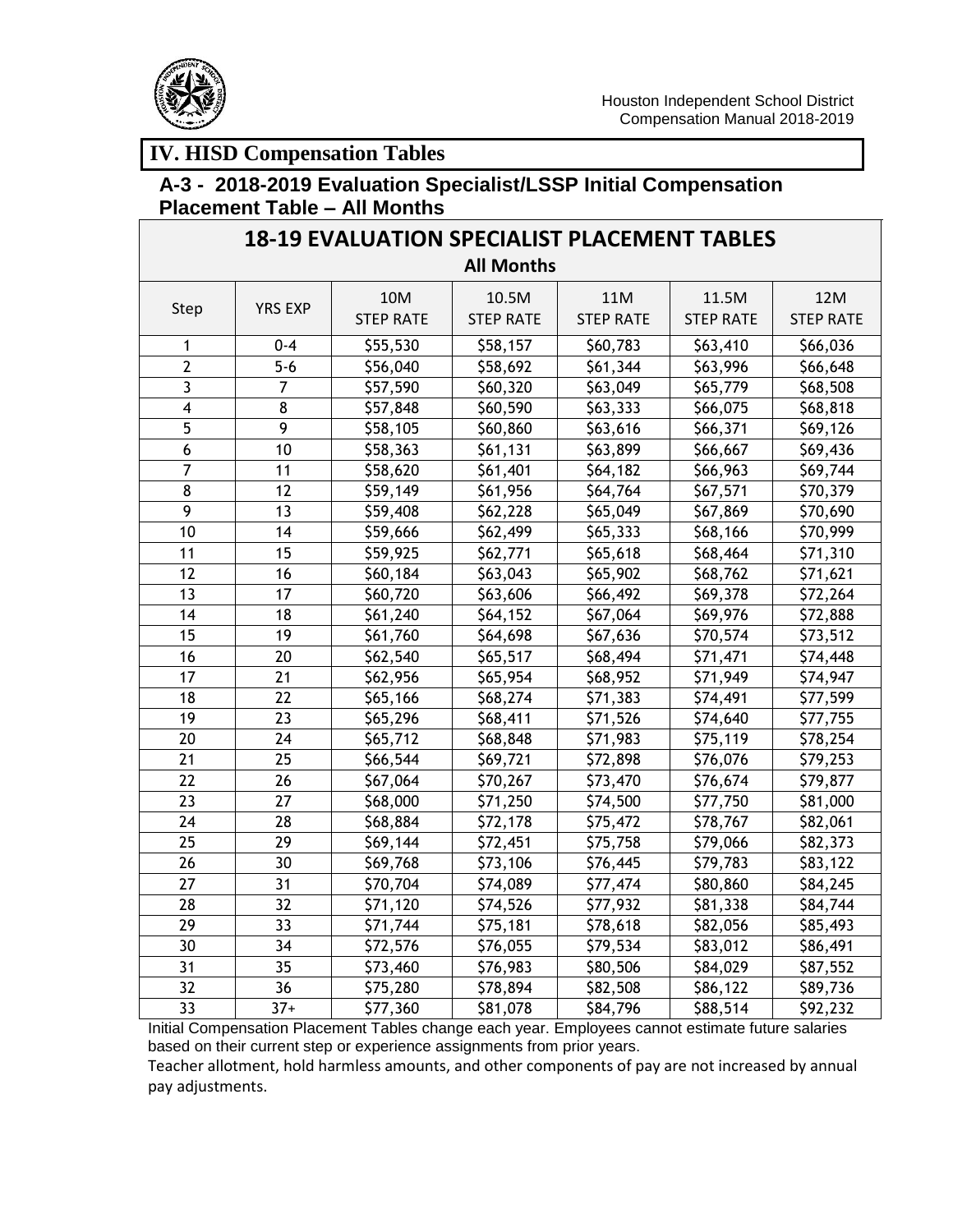

#### **A-3 - 2018-2019 Evaluation Specialist/LSSP Initial Compensation Placement Table – All Months**

| <b>18-19 EVALUATION SPECIALIST PLACEMENT TABLES</b> |                |                         |                           |                         |                           |                         |  |
|-----------------------------------------------------|----------------|-------------------------|---------------------------|-------------------------|---------------------------|-------------------------|--|
| <b>All Months</b>                                   |                |                         |                           |                         |                           |                         |  |
| Step                                                | <b>YRS EXP</b> | 10M<br><b>STEP RATE</b> | 10.5M<br><b>STEP RATE</b> | 11M<br><b>STEP RATE</b> | 11.5M<br><b>STEP RATE</b> | 12M<br><b>STEP RATE</b> |  |
| 1                                                   | $0 - 4$        | \$55,530                | \$58,157                  | \$60,783                | \$63,410                  | \$66,036                |  |
| $\overline{2}$                                      | $5 - 6$        | \$56,040                | \$58,692                  | \$61,344                | \$63,996                  | \$66,648                |  |
| $\overline{3}$                                      | $\overline{7}$ | \$57,590                | \$60,320                  | \$63,049                | \$65,779                  | \$68,508                |  |
| $\overline{\mathbf{4}}$                             | 8              | \$57,848                | \$60,590                  | \$63,333                | \$66,075                  | \$68,818                |  |
| 5                                                   | $\overline{9}$ | \$58,105                | \$60,860                  | \$63,616                | \$66,371                  | \$69,126                |  |
| 6                                                   | 10             | \$58,363                | \$61,131                  | \$63,899                | \$66,667                  | \$69,436                |  |
| $\overline{7}$                                      | 11             | \$58,620                | \$61,401                  | \$64,182                | \$66,963                  | \$69,744                |  |
| $\overline{8}$                                      | 12             | \$59,149                | \$61,956                  | \$64,764                | \$67,571                  | \$70,379                |  |
| 9                                                   | 13             | \$59,408                | \$62,228                  | \$65,049                | \$67,869                  | \$70,690                |  |
| 10                                                  | 14             | \$59,666                | \$62,499                  | \$65,333                | \$68,166                  | \$70,999                |  |
| 11                                                  | 15             | \$59,925                | \$62,771                  | \$65,618                | \$68,464                  | \$71,310                |  |
| 12                                                  | 16             | \$60,184                | \$63,043                  | \$65,902                | \$68,762                  | \$71,621                |  |
| 13                                                  | 17             | \$60,720                | \$63,606                  | \$66,492                | \$69,378                  | \$72,264                |  |
| 14                                                  | 18             | \$61,240                | \$64,152                  | \$67,064                | \$69,976                  | \$72,888                |  |
| 15                                                  | 19             | \$61,760                | \$64,698                  | \$67,636                | \$70,574                  | \$73,512                |  |
| 16                                                  | 20             | \$62,540                | \$65,517                  | \$68,494                | \$71,471                  | \$74,448                |  |
| 17                                                  | 21             | \$62,956                | \$65,954                  | \$68,952                | \$71,949                  | \$74,947                |  |
| 18                                                  | 22             | \$65,166                | \$68,274                  | \$71,383                | \$74,491                  | \$77,599                |  |
| 19                                                  | 23             | \$65,296                | \$68,411                  | \$71,526                | \$74,640                  | \$77,755                |  |
| 20                                                  | 24             | \$65,712                | \$68,848                  | \$71,983                | \$75,119                  | \$78,254                |  |
| 21                                                  | 25             | \$66,544                | \$69,721                  | \$72,898                | \$76,076                  | \$79,253                |  |
| 22                                                  | 26             | \$67,064                | \$70,267                  | \$73,470                | \$76,674                  | \$79,877                |  |
| 23                                                  | 27             | \$68,000                | \$71,250                  | \$74,500                | \$77,750                  | \$81,000                |  |
| 24                                                  | 28             | \$68,884                | \$72,178                  | \$75,472                | \$78,767                  | \$82,061                |  |
| 25                                                  | 29             | \$69,144                | \$72,451                  | \$75,758                | \$79,066                  | \$82,373                |  |
| 26                                                  | 30             | \$69,768                | \$73,106                  | \$76,445                | \$79,783                  | \$83,122                |  |
| 27                                                  | 31             | \$70,704                | \$74,089                  | \$77,474                | \$80,860                  | \$84,245                |  |
| 28                                                  | 32             | \$71,120                | \$74,526                  | \$77,932                | \$81,338                  | \$84,744                |  |
| 29                                                  | 33             | \$71,744                | \$75,181                  | \$78,618                | \$82,056                  | \$85,493                |  |
| 30                                                  | 34             | \$72,576                | \$76,055                  | \$79,534                | \$83,012                  | \$86,491                |  |
| 31                                                  | 35             | \$73,460                | \$76,983                  | \$80,506                | \$84,029                  | \$87,552                |  |
| 32                                                  | 36             | \$75,280                | \$78,894                  | \$82,508                | \$86,122                  | \$89,736                |  |
| 33                                                  | $37+$          | \$77,360                | \$81,078                  | \$84,796                | \$88,514                  | \$92,232                |  |

Initial Compensation Placement Tables change each year. Employees cannot estimate future salaries based on their current step or experience assignments from prior years.

Teacher allotment, hold harmless amounts, and other components of pay are not increased by annual pay adjustments.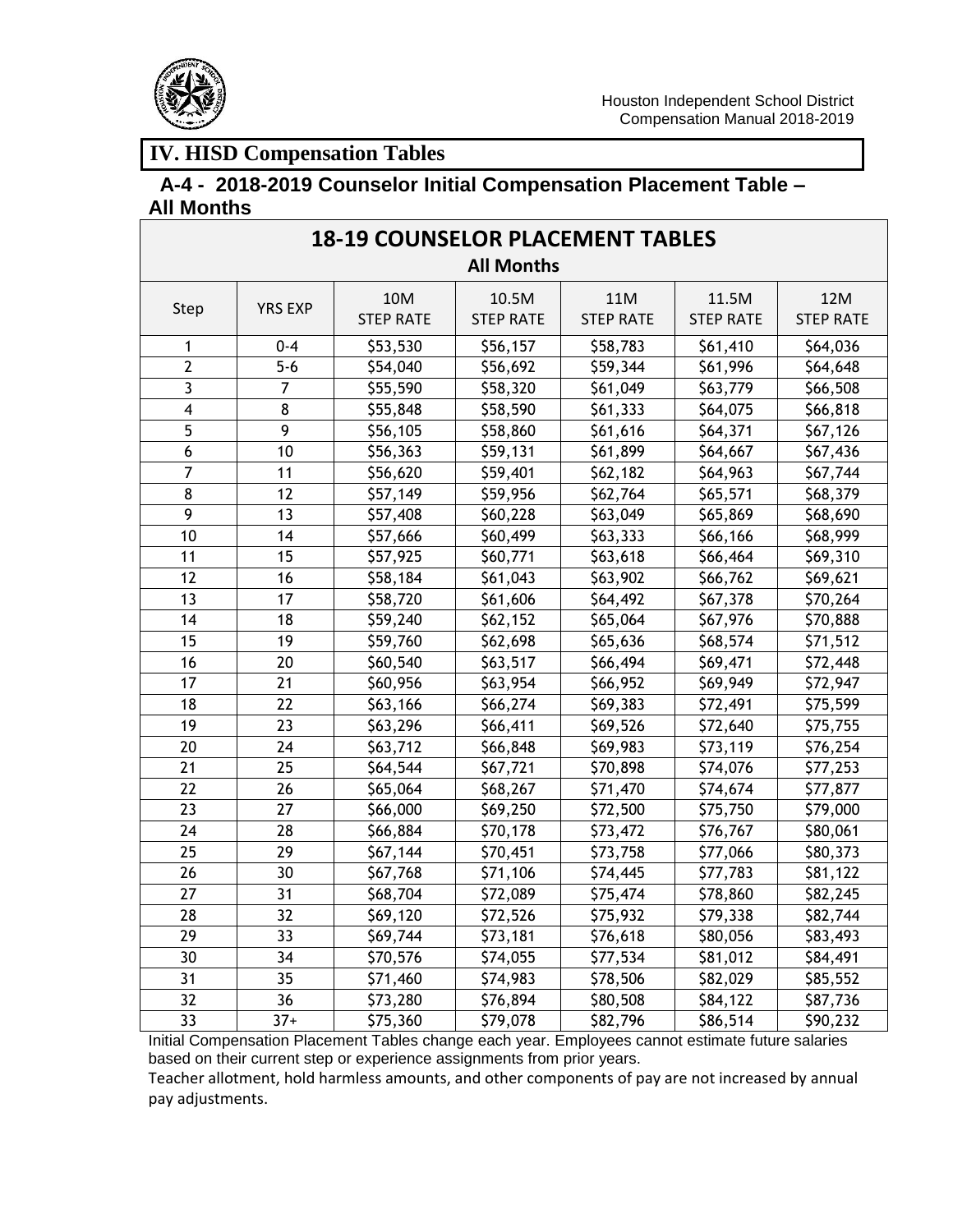

# **A-4 - 2018-2019 Counselor Initial Compensation Placement Table – All Months**

| <b>18-19 COUNSELOR PLACEMENT TABLES</b> |                |                         |                           |                         |                           |                         |  |  |
|-----------------------------------------|----------------|-------------------------|---------------------------|-------------------------|---------------------------|-------------------------|--|--|
| <b>All Months</b>                       |                |                         |                           |                         |                           |                         |  |  |
| Step                                    | <b>YRS EXP</b> | 10M<br><b>STEP RATE</b> | 10.5M<br><b>STEP RATE</b> | 11M<br><b>STEP RATE</b> | 11.5M<br><b>STEP RATE</b> | 12M<br><b>STEP RATE</b> |  |  |
| 1                                       | $0 - 4$        | \$53,530                | \$56,157                  | \$58,783                | \$61,410                  | \$64,036                |  |  |
| $\overline{2}$                          | $5-6$          | \$54,040                | \$56,692                  | \$59,344                | \$61,996                  | \$64,648                |  |  |
| 3                                       | $\overline{7}$ | \$55,590                | \$58,320                  | \$61,049                | \$63,779                  | \$66,508                |  |  |
| $\overline{4}$                          | 8              | \$55,848                | \$58,590                  | \$61,333                | \$64,075                  | \$66,818                |  |  |
| 5                                       | 9              | \$56,105                | \$58,860                  | \$61,616                | \$64,371                  | \$67,126                |  |  |
| 6                                       | 10             | \$56,363                | \$59,131                  | \$61,899                | \$64,667                  | \$67,436                |  |  |
| $\overline{7}$                          | 11             | \$56,620                | \$59,401                  | \$62,182                | \$64,963                  | \$67,744                |  |  |
| $\overline{8}$                          | 12             | \$57,149                | \$59,956                  | \$62,764                | \$65,571                  | \$68,379                |  |  |
| 9                                       | 13             | \$57,408                | \$60,228                  | \$63,049                | \$65,869                  | \$68,690                |  |  |
| 10                                      | 14             | \$57,666                | \$60,499                  | \$63,333                | \$66,166                  | \$68,999                |  |  |
| 11                                      | 15             | \$57,925                | \$60,771                  | \$63,618                | \$66,464                  | \$69,310                |  |  |
| 12                                      | 16             | \$58,184                | \$61,043                  | \$63,902                | \$66,762                  | \$69,621                |  |  |
| 13                                      | 17             | \$58,720                | \$61,606                  | \$64,492                | \$67,378                  | \$70,264                |  |  |
| 14                                      | 18             | \$59,240                | \$62,152                  | \$65,064                | \$67,976                  | \$70,888                |  |  |
| 15                                      | 19             | \$59,760                | \$62,698                  | \$65,636                | \$68,574                  | \$71,512                |  |  |
| 16                                      | 20             | \$60,540                | \$63,517                  | \$66,494                | \$69,471                  | \$72,448                |  |  |
| 17                                      | 21             | \$60,956                | \$63,954                  | \$66,952                | \$69,949                  | \$72,947                |  |  |
| 18                                      | 22             | \$63,166                | \$66,274                  | \$69,383                | \$72,491                  | \$75,599                |  |  |
| 19                                      | 23             | \$63,296                | \$66,411                  | \$69,526                | \$72,640                  | \$75,755                |  |  |
| 20                                      | 24             | \$63,712                | \$66,848                  | \$69,983                | \$73,119                  | \$76,254                |  |  |
| 21                                      | 25             | \$64,544                | \$67,721                  | \$70,898                | \$74,076                  | \$77,253                |  |  |
| 22                                      | 26             | \$65,064                | \$68,267                  | \$71,470                | \$74,674                  | \$77,877                |  |  |
| 23                                      | 27             | \$66,000                | \$69,250                  | \$72,500                | \$75,750                  | \$79,000                |  |  |
| 24                                      | 28             | \$66,884                | \$70,178                  | \$73,472                | \$76,767                  | \$80,061                |  |  |
| 25                                      | 29             | \$67,144                | \$70,451                  | \$73,758                | \$77,066                  | \$80,373                |  |  |
| 26                                      | 30             | \$67,768                | \$71,106                  | \$74,445                | \$77,783                  | \$81,122                |  |  |
| 27                                      | 31             | \$68,704                | \$72,089                  | \$75,474                | \$78,860                  | \$82,245                |  |  |
| 28                                      | 32             | \$69,120                | \$72,526                  | \$75,932                | \$79,338                  | \$82,744                |  |  |
| 29                                      | 33             | \$69,744                | \$73,181                  | \$76,618                | \$80,056                  | \$83,493                |  |  |
| 30                                      | 34             | \$70,576                | \$74,055                  | \$77,534                | \$81,012                  | \$84,491                |  |  |
| 31                                      | 35             | \$71,460                | \$74,983                  | \$78,506                | \$82,029                  | \$85,552                |  |  |
| $\overline{32}$                         | 36             | \$73,280                | \$76,894                  | \$80,508                | \$84,122                  | \$87,736                |  |  |
| 33                                      | $37+$          | \$75,360                | \$79,078                  | \$82,796                | \$86,514                  | \$90,232                |  |  |

Initial Compensation Placement Tables change each year. Employees cannot estimate future salaries based on their current step or experience assignments from prior years.

Teacher allotment, hold harmless amounts, and other components of pay are not increased by annual pay adjustments.